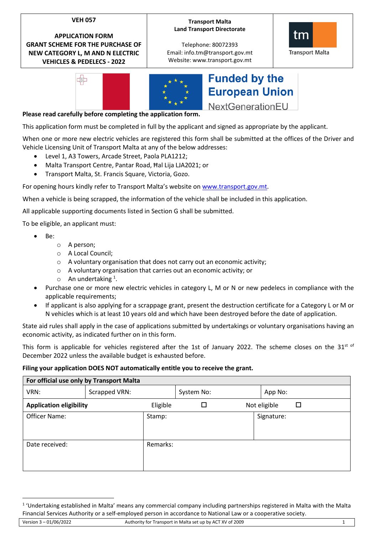# **VEH 057**

**APPLICATION FORM GRANT SCHEME FOR THE PURCHASE OF NEW CATEGORY L, M AND N ELECTRIC VEHICLES & PEDELECS - 2022**

## **Transport Malta Land Transport Directorate**

Telephone: 80072393 Email: info.tm@transport.gov.mt Website: www.transport.gov.mt





# **Funded by the European Union** NextGenerationEU

**Please read carefully before completing the application form.**

This application form must be completed in full by the applicant and signed as appropriate by the applicant.

When one or more new electric vehicles are registered this form shall be submitted at the offices of the Driver and Vehicle Licensing Unit of Transport Malta at any of the below addresses:

- Level 1, A3 Towers, Arcade Street, Paola PLA1212;
- Malta Transport Centre, Pantar Road, Ħal Lija LJA2021; or
- Transport Malta, St. Francis Square, Victoria, Gozo.

For opening hours kindly refer to Transport Malta's website o[n www.transport.gov.mt.](http://www.transport.gov.mt/)

When a vehicle is being scrapped, the information of the vehicle shall be included in this application.

All applicable supporting documents listed in Section G shall be submitted.

To be eligible, an applicant must:

- Be:
	- o A person;
	- o A Local Council;
	- o A voluntary organisation that does not carry out an economic activity;
	- o A voluntary organisation that carries out an economic activity; or
	- $\circ$  An undertaking <sup>1</sup>.
- Purchase one or more new electric vehicles in category L, M or N or new pedelecs in compliance with the applicable requirements;
- If applicant is also applying for a scrappage grant, present the destruction certificate for a Category L or M or N vehicles which is at least 10 years old and which have been destroyed before the date of application.

State aid rules shall apply in the case of applications submitted by undertakings or voluntary organisations having an economic activity, as indicated further on in this form.

This form is applicable for vehicles registered after the 1st of January 2022. The scheme closes on the  $31^{st}$  of December 2022 unless the available budget is exhausted before.

### **Filing your application DOES NOT automatically entitle you to receive the grant.**

| For official use only by Transport Malta |               |          |            |  |              |  |  |  |  |  |
|------------------------------------------|---------------|----------|------------|--|--------------|--|--|--|--|--|
| VRN:                                     | Scrapped VRN: |          | System No: |  | App No:      |  |  |  |  |  |
| <b>Application eligibility</b>           |               | Eligible |            |  | Not eligible |  |  |  |  |  |
| Officer Name:                            |               | Stamp:   |            |  | Signature:   |  |  |  |  |  |
| Date received:                           |               | Remarks: |            |  |              |  |  |  |  |  |

<sup>&</sup>lt;sup>1</sup> 'Undertaking established in Malta' means any commercial company including partnerships registered in Malta with the Malta Financial Services Authority or a self-employed person in accordance to National Law or a cooperative society.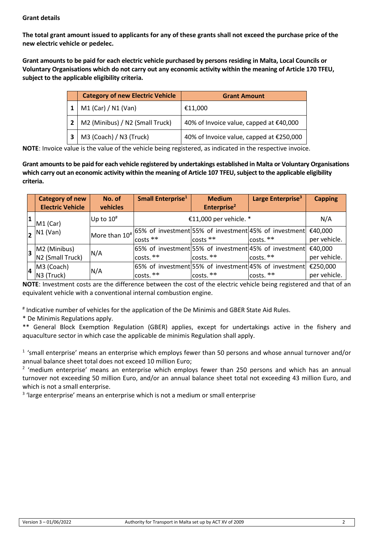# **Grant details**

**The total grant amount issued to applicants for any of these grants shall not exceed the purchase price of the new electric vehicle or pedelec.**

**Grant amounts to be paid for each electric vehicle purchased by persons residing in Malta, Local Councils or Voluntary Organisations which do not carry out any economic activity within the meaning of Article 170 TFEU, subject to the applicable eligibility criteria.**

| <b>Category of new Electric Vehicle</b> | <b>Grant Amount</b>                      |
|-----------------------------------------|------------------------------------------|
| M1 (Car) / N1 (Van)                     | €11,000                                  |
| M2 (Minibus) / N2 (Small Truck)         | 40% of Invoice value, capped at €40,000  |
| M3 (Coach) / N3 (Truck)                 | 40% of Invoice value, capped at €250,000 |

**NOTE**: Invoice value is the value of the vehicle being registered, as indicated in the respective invoice.

**Grant amounts to be paid for each vehicle registered by undertakings established in Malta or Voluntary Organisations which carry out an economic activity within the meaning of Article 107 TFEU, subject to the applicable eligibility criteria.**

| <b>Category of new</b><br><b>Electric Vehicle</b> | No. of<br>vehicles | Small Enterprise <sup>1</sup> | <b>Medium</b><br>Enterprise <sup>2</sup> | Large Enterprise <sup>3</sup>                                             | <b>Capping</b> |
|---------------------------------------------------|--------------------|-------------------------------|------------------------------------------|---------------------------------------------------------------------------|----------------|
| $M1$ (Car)                                        | Up to $10#$        |                               | €11,000 per vehicle. *                   |                                                                           | N/A            |
| $\vert$ 2   N1 (Van)                              |                    |                               |                                          | More than $10^{\#}$ 65% of investment 55% of investment 45% of investment | €40,000        |
|                                                   |                    | costs **                      | $costs$ **                               | costs.**                                                                  | per vehicle.   |
| $3$ M2 (Minibus)                                  | N/A                |                               |                                          | 65% of investment 55% of investment 45% of investment                     | €40,000        |
| N <sub>2</sub> (Small Truck)                      |                    | costs.**                      | costs.**                                 | $costs.**$                                                                | per vehicle.   |
| M3 (Coach)                                        |                    |                               |                                          | 65% of investment 55% of investment 45% of investment                     | €250,000       |
| N3 (Truck)                                        | N/A                | $costs.**$                    | lcosts.**                                | $costs.$ **                                                               | per vehicle.   |

**NOTE**: Investment costs are the difference between the cost of the electric vehicle being registered and that of an equivalent vehicle with a conventional internal combustion engine.

# Indicative number of vehicles for the application of the De Minimis and GBER State Aid Rules.

\* De Minimis Regulations apply.

\*\* General Block Exemption Regulation (GBER) applies, except for undertakings active in the fishery and aquaculture sector in which case the applicable de minimis Regulation shall apply.

1 'small enterprise' means an enterprise which employs fewer than 50 persons and whose annual turnover and/or annual balance sheet total does not exceed 10 million Euro;

<sup>2</sup> 'medium enterprise' means an enterprise which employs fewer than 250 persons and which has an annual turnover not exceeding 50 million Euro, and/or an annual balance sheet total not exceeding 43 million Euro, and which is not a small enterprise.

<sup>3</sup> 'large enterprise' means an enterprise which is not a medium or small enterprise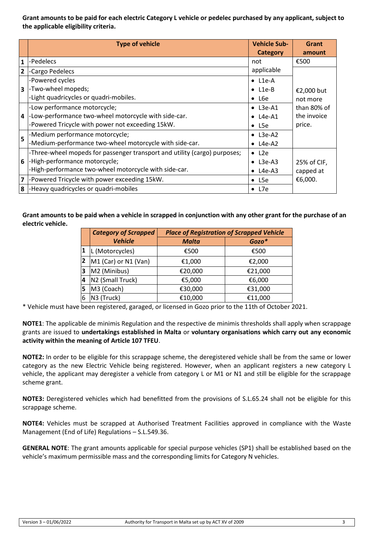**Grant amounts to be paid for each electric Category L vehicle or pedelec purchased by any applicant, subject to the applicable eligibility criteria.**

|                         | <b>Type of vehicle</b>                                                    | <b>Vehicle Sub-</b><br>Category | <b>Grant</b><br>amount     |  |
|-------------------------|---------------------------------------------------------------------------|---------------------------------|----------------------------|--|
| $\mathbf{1}$            | -Pedelecs                                                                 | not                             | €500                       |  |
| $\overline{2}$          | -Cargo Pedelecs                                                           | applicable                      |                            |  |
|                         | -Powered cycles                                                           | $\bullet$ L1e-A                 |                            |  |
| $\overline{\mathbf{3}}$ | -Two-wheel mopeds;                                                        | $\bullet$ L1e-B                 | €2,000 but                 |  |
|                         | -Light quadricycles or quadri-mobiles.                                    | $\bullet$ L6e                   | not more                   |  |
|                         | -Low performance motorcycle;                                              | $\bullet$ L3e-A1                | than 80% of<br>the invoice |  |
| $\overline{\mathbf{A}}$ | -Low-performance two-wheel motorcycle with side-car.                      | $\bullet$ L4e-A1                |                            |  |
|                         | -Powered Tricycle with power not exceeding 15kW.                          | $\bullet$ L5e                   | price.                     |  |
| 5                       | -Medium performance motorcycle;                                           | $\bullet$ L3e-A2                |                            |  |
|                         | -Medium-performance two-wheel motorcycle with side-car.                   | $\bullet$ L4e-A2                |                            |  |
|                         | -Three-wheel mopeds for passenger transport and utility (cargo) purposes; | $\bullet$ L2e                   |                            |  |
| 6                       | -High-performance motorcycle;                                             | $\bullet$ L3e-A3                | 25% of CIF,                |  |
|                         | -High-performance two-wheel motorcycle with side-car.                     | $\bullet$ L4e-A3                | capped at                  |  |
| $\overline{\mathbf{z}}$ | -Powered Tricycle with power exceeding 15kW.                              | $\bullet$ L5e                   | €6,000.                    |  |
| 8 <sup>1</sup>          | -Heavy quadricycles or quadri-mobiles                                     | $\bullet$ L7e                   |                            |  |

**Grant amounts to be paid when a vehicle in scrapped in conjunction with any other grant for the purchase of an electric vehicle.**

|              | <b>Category of Scrapped</b>  |              | <b>Place of Registration of Scrapped Vehicle</b> |
|--------------|------------------------------|--------------|--------------------------------------------------|
|              | <b>Vehicle</b>               | <b>Malta</b> | Gozo*                                            |
| 1            | L (Motorcycles)              | €500         | €500                                             |
| $\mathbf{2}$ | M1 (Car) or N1 (Van)         | €1,000       | €2,000                                           |
| 3            | M2 (Minibus)                 | €20,000      | €21,000                                          |
| 4            | N <sub>2</sub> (Small Truck) | €5,000       | €6,000                                           |
| 5            | M3 (Coach)                   | €30,000      | €31,000                                          |
| 6            | N3 (Truck)                   | €10,000      | €11,000                                          |

\* Vehicle must have been registered, garaged, or licensed in Gozo prior to the 11th of October 2021.

**NOTE1**: The applicable de minimis Regulation and the respective de minimis thresholds shall apply when scrappage grants are issued to **undertakings established in Malta** or **voluntary organisations which carry out any economic activity within the meaning of Article 107 TFEU**.

**NOTE2:** In order to be eligible for this scrappage scheme, the deregistered vehicle shall be from the same or lower category as the new Electric Vehicle being registered. However, when an applicant registers a new category L vehicle, the applicant may deregister a vehicle from category L or M1 or N1 and still be eligible for the scrappage scheme grant.

**NOTE3:** Deregistered vehicles which had benefitted from the provisions of S.L.65.24 shall not be eligible for this scrappage scheme.

**NOTE4:** Vehicles must be scrapped at Authorised Treatment Facilities approved in compliance with the Waste Management (End of Life) Regulations – S.L.549.36.

**GENERAL NOTE**: The grant amounts applicable for special purpose vehicles (SP1) shall be established based on the vehicle's maximum permissible mass and the corresponding limits for Category N vehicles.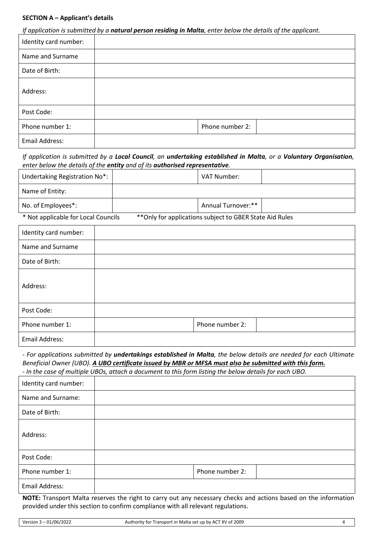#### **SECTION A – Applicant's details**

*If application is submitted by a natural person residing in Malta, enter below the details of the applicant.*

| Identity card number: |                 |
|-----------------------|-----------------|
| Name and Surname      |                 |
| Date of Birth:        |                 |
| Address:              |                 |
| Post Code:            |                 |
| Phone number 1:       | Phone number 2: |
| Email Address:        |                 |

*If application is submitted by a Local Council, an undertaking established in Malta, or a Voluntary Organisation, enter below the details of the entity and of its authorised representative.*

| Undertaking Registration No*:       |                                                          | VAT Number:        |  |
|-------------------------------------|----------------------------------------------------------|--------------------|--|
| Name of Entity:                     |                                                          |                    |  |
| No. of Employees*:                  |                                                          | Annual Turnover:** |  |
| * Not applicable for Local Councils | ** Only for applications subject to GBER State Aid Rules |                    |  |

| Identity card number: |                 |
|-----------------------|-----------------|
| Name and Surname      |                 |
| Date of Birth:        |                 |
| Address:              |                 |
| Post Code:            |                 |
| Phone number 1:       | Phone number 2: |
| Email Address:        |                 |

*- For applications submitted by undertakings established in Malta, the below details are needed for each Ultimate Beneficial Owner (UBO). A UBO certificate issued by MBR or MFSA must also be submitted with this form. - In the case of multiple UBOs, attach a document to this form listing the below details for each UBO.*

Identity card number: Name and Surname: Date of Birth: Address: Post Code: Phone number 1: Phone number 2: Email Address:

**NOTE:** Transport Malta reserves the right to carry out any necessary checks and actions based on the information provided under this section to confirm compliance with all relevant regulations.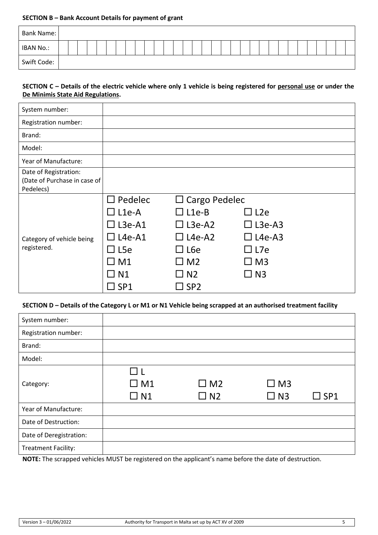#### **SECTION B – Bank Account Details for payment of grant**

| <b>Bank Name:</b> |  |  |  |  |  |  |  |  |  |  |  |  |  |  |  |  |
|-------------------|--|--|--|--|--|--|--|--|--|--|--|--|--|--|--|--|
| IBAN No.:         |  |  |  |  |  |  |  |  |  |  |  |  |  |  |  |  |
| Swift Code:       |  |  |  |  |  |  |  |  |  |  |  |  |  |  |  |  |

# **SECTION C – Details of the electric vehicle where only 1 vehicle is being registered for personal use or under the De Minimis State Aid Regulations.**

| System number:               |                  |                      |                  |  |  |  |  |
|------------------------------|------------------|----------------------|------------------|--|--|--|--|
| Registration number:         |                  |                      |                  |  |  |  |  |
| Brand:                       |                  |                      |                  |  |  |  |  |
| Model:                       |                  |                      |                  |  |  |  |  |
| Year of Manufacture:         |                  |                      |                  |  |  |  |  |
| Date of Registration:        |                  |                      |                  |  |  |  |  |
| (Date of Purchase in case of |                  |                      |                  |  |  |  |  |
| Pedelecs)                    |                  |                      |                  |  |  |  |  |
|                              | $\Box$ Pedelec   | $\Box$ Cargo Pedelec |                  |  |  |  |  |
|                              | $\square$ L1e-A  | $\square$ L1e-B      | $\Box$ L2e       |  |  |  |  |
|                              | $\square$ L3e-A1 | $\square$ L3e-A2     | $\square$ L3e-A3 |  |  |  |  |
| Category of vehicle being    | $L4e-A1$         | $\Box$ L4e-A2        | $\square$ L4e-A3 |  |  |  |  |
| registered.                  | $\Box$ L5e       | $\Box$ L6e           | $\Box$ L7e       |  |  |  |  |
|                              | $\square$ M1     | $\square$ M2         | $\square$ M3     |  |  |  |  |
|                              | $\Box$ N1        | $\Box$ N2            | $\square$ N3     |  |  |  |  |
|                              | $\square$ SP1    | $\square$ SP2        |                  |  |  |  |  |

## **SECTION D – Details of the Category L or M1 or N1 Vehicle being scrapped at an authorised treatment facility**

| System number:             |                                       |                        |                        |               |
|----------------------------|---------------------------------------|------------------------|------------------------|---------------|
| Registration number:       |                                       |                        |                        |               |
| Brand:                     |                                       |                        |                        |               |
| Model:                     |                                       |                        |                        |               |
| Category:                  | $\Box$ 1<br>$\square$ M1<br>$\Box$ N1 | $\Box$ M2<br>$\Box$ N2 | $\Box$ M3<br>$\Box$ N3 | $\square$ SP1 |
| Year of Manufacture:       |                                       |                        |                        |               |
| Date of Destruction:       |                                       |                        |                        |               |
| Date of Deregistration:    |                                       |                        |                        |               |
| <b>Treatment Facility:</b> |                                       |                        |                        |               |

**NOTE:** The scrapped vehicles MUST be registered on the applicant's name before the date of destruction.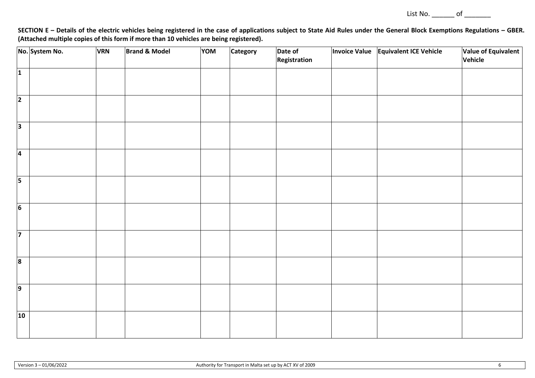List No. \_\_\_\_\_\_\_ of \_\_\_\_\_\_\_\_

SECTION E - Details of the electric vehicles being registered in the case of applications subject to State Aid Rules under the General Block Exemptions Regulations - GBER. **(Attached multiple copies of this form if more than 10 vehicles are being registered).**

|                         | No. System No. | <b>VRN</b> | <b>Brand &amp; Model</b> | <b>NOV</b><br>Date of<br>Category |  | <b>Invoice Value</b> | <b>Equivalent ICE Vehicle</b> | Value of Equivalent |         |  |  |
|-------------------------|----------------|------------|--------------------------|-----------------------------------|--|----------------------|-------------------------------|---------------------|---------|--|--|
|                         |                |            |                          |                                   |  | Registration         |                               |                     | Vehicle |  |  |
| 1                       |                |            |                          |                                   |  |                      |                               |                     |         |  |  |
|                         |                |            |                          |                                   |  |                      |                               |                     |         |  |  |
| $\overline{2}$          |                |            |                          |                                   |  |                      |                               |                     |         |  |  |
|                         |                |            |                          |                                   |  |                      |                               |                     |         |  |  |
|                         |                |            |                          |                                   |  |                      |                               |                     |         |  |  |
| <sub>3</sub>            |                |            |                          |                                   |  |                      |                               |                     |         |  |  |
|                         |                |            |                          |                                   |  |                      |                               |                     |         |  |  |
| $\overline{4}$          |                |            |                          |                                   |  |                      |                               |                     |         |  |  |
|                         |                |            |                          |                                   |  |                      |                               |                     |         |  |  |
| $\overline{5}$          |                |            |                          |                                   |  |                      |                               |                     |         |  |  |
|                         |                |            |                          |                                   |  |                      |                               |                     |         |  |  |
|                         |                |            |                          |                                   |  |                      |                               |                     |         |  |  |
| $\overline{6}$          |                |            |                          |                                   |  |                      |                               |                     |         |  |  |
|                         |                |            |                          |                                   |  |                      |                               |                     |         |  |  |
| $\overline{7}$          |                |            |                          |                                   |  |                      |                               |                     |         |  |  |
|                         |                |            |                          |                                   |  |                      |                               |                     |         |  |  |
|                         |                |            |                          |                                   |  |                      |                               |                     |         |  |  |
| $\overline{\mathbf{8}}$ |                |            |                          |                                   |  |                      |                               |                     |         |  |  |
|                         |                |            |                          |                                   |  |                      |                               |                     |         |  |  |
| $\overline{9}$          |                |            |                          |                                   |  |                      |                               |                     |         |  |  |
|                         |                |            |                          |                                   |  |                      |                               |                     |         |  |  |
|                         |                |            |                          |                                   |  |                      |                               |                     |         |  |  |
| 10                      |                |            |                          |                                   |  |                      |                               |                     |         |  |  |
|                         |                |            |                          |                                   |  |                      |                               |                     |         |  |  |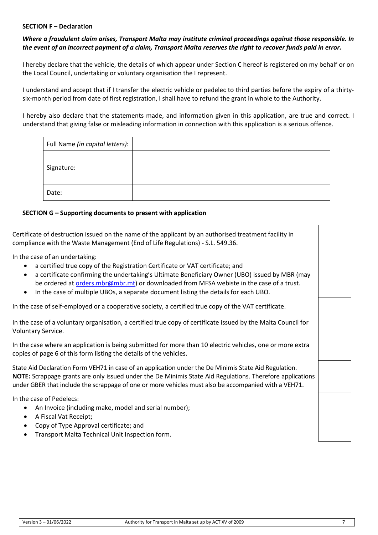### **SECTION F – Declaration**

# *Where a fraudulent claim arises, Transport Malta may institute criminal proceedings against those responsible. In the event of an incorrect payment of a claim, Transport Malta reserves the right to recover funds paid in error.*

I hereby declare that the vehicle, the details of which appear under Section C hereof is registered on my behalf or on the Local Council, undertaking or voluntary organisation the I represent.

I understand and accept that if I transfer the electric vehicle or pedelec to third parties before the expiry of a thirtysix-month period from date of first registration, I shall have to refund the grant in whole to the Authority.

I hereby also declare that the statements made, and information given in this application, are true and correct. I understand that giving false or misleading information in connection with this application is a serious offence.

| Full Name (in capital letters): |  |
|---------------------------------|--|
| Signature:                      |  |
| Date:                           |  |

# **SECTION G – Supporting documents to present with application**

Certificate of destruction issued on the name of the applicant by an authorised treatment facility in compliance with the Waste Management (End of Life Regulations) - S.L. 549.36.

In the case of an undertaking:

- a certified true copy of the Registration Certificate or VAT certificate; and
- a certificate confirming the undertaking's Ultimate Beneficiary Owner (UBO) issued by MBR (may be ordered at [orders.mbr@mbr.mt\)](mailto:orders.mbr@mbr.mt) or downloaded from MFSA webiste in the case of a trust.
- In the case of multiple UBOs, a separate document listing the details for each UBO.

In the case of self-employed or a cooperative society, a certified true copy of the VAT certificate.

In the case of a voluntary organisation, a certified true copy of certificate issued by the Malta Council for Voluntary Service.

In the case where an application is being submitted for more than 10 electric vehicles, one or more extra copies of page 6 of this form listing the details of the vehicles.

State Aid Declaration Form VEH71 in case of an application under the De Minimis State Aid Regulation. **NOTE:** Scrappage grants are only issued under the De Minimis State Aid Regulations. Therefore applications under GBER that include the scrappage of one or more vehicles must also be accompanied with a VEH71.

In the case of Pedelecs:

- An Invoice (including make, model and serial number);
- A Fiscal Vat Receipt;
- Copy of Type Approval certificate; and
- Transport Malta Technical Unit Inspection form.